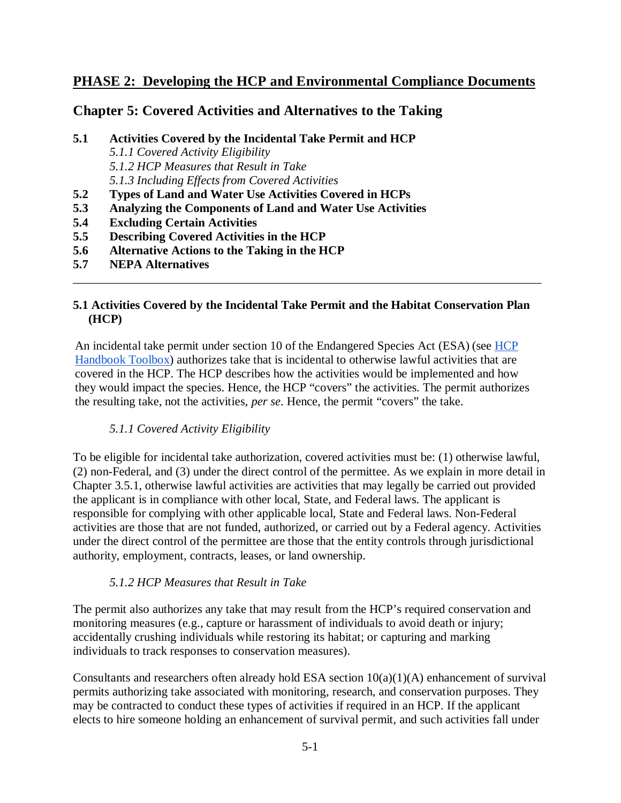# **PHASE 2: Developing the HCP and Environmental Compliance Documents**

## **Chapter 5: Covered Activities and Alternatives to the Taking**

- **5.1 Activities Covered by the Incidental Take Permit and HCP** *5.1.1 Covered Activity Eligibility 5.1.2 HCP Measures that Result in Take 5.1.3 Including Effects from Covered Activities*
- **5.2 Types of Land and Water Use Activities Covered in HCPs**
- **5.3 Analyzing the Components of Land and Water Use Activities**
- **5.4 Excluding Certain Activities**
- **5.5 Describing Covered Activities in the HCP**
- **5.6 Alternative Actions to the Taking in the HCP**
- **5.7 NEPA Alternatives**

#### **5.1 Activities Covered by the Incidental Take Permit and the Habitat Conservation Plan (HCP)**

\_\_\_\_\_\_\_\_\_\_\_\_\_\_\_\_\_\_\_\_\_\_\_\_\_\_\_\_\_\_\_\_\_\_\_\_\_\_\_\_\_\_\_\_\_\_\_\_\_\_\_\_\_\_\_\_\_\_\_\_\_\_\_\_\_\_\_\_\_\_\_\_\_\_\_\_\_

An incidental take permit under section 10 of the Endangered Species Act (ESA) (see HCP [Handbook Toolbox\)](https://www.fws.gov/endangered/what-we-do/hcp-handbook-toolbox.html#Ch5) authorizes take that is incidental to otherwise lawful activities that are covered in the HCP. The HCP describes how the activities would be implemented and how they would impact the species. Hence, the HCP "covers" the activities. The permit authorizes the resulting take, not the activities, *per se*. Hence, the permit "covers" the take.

### *5.1.1 Covered Activity Eligibility*

To be eligible for incidental take authorization, covered activities must be: (1) otherwise lawful, (2) non-Federal, and (3) under the direct control of the permittee. As we explain in more detail in Chapter 3.5.1, otherwise lawful activities are activities that may legally be carried out provided the applicant is in compliance with other local, State, and Federal laws. The applicant is responsible for complying with other applicable local, State and Federal laws. Non-Federal activities are those that are not funded, authorized, or carried out by a Federal agency. Activities under the direct control of the permittee are those that the entity controls through jurisdictional authority, employment, contracts, leases, or land ownership.

#### *5.1.2 HCP Measures that Result in Take*

The permit also authorizes any take that may result from the HCP's required conservation and monitoring measures (e.g., capture or harassment of individuals to avoid death or injury; accidentally crushing individuals while restoring its habitat; or capturing and marking individuals to track responses to conservation measures).

Consultants and researchers often already hold ESA section  $10(a)(1)(A)$  enhancement of survival permits authorizing take associated with monitoring, research, and conservation purposes. They may be contracted to conduct these types of activities if required in an HCP. If the applicant elects to hire someone holding an enhancement of survival permit, and such activities fall under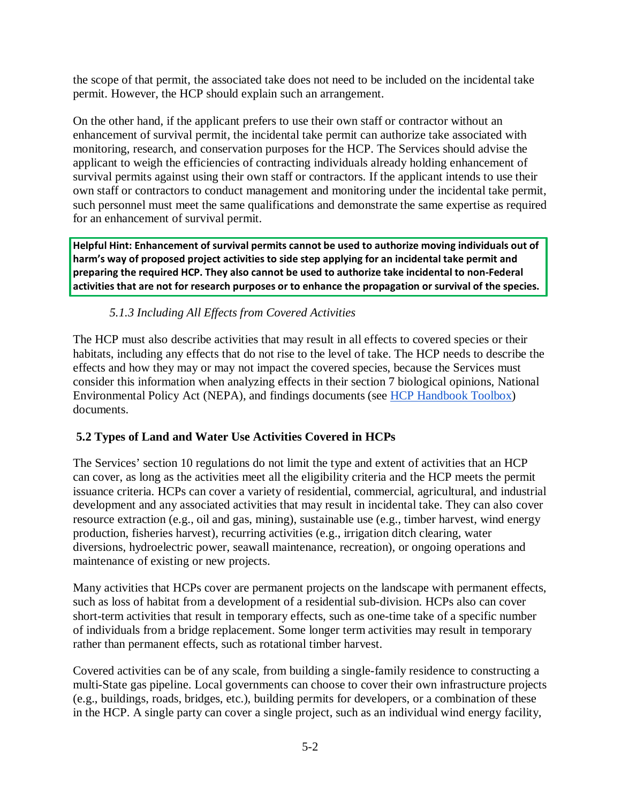the scope of that permit, the associated take does not need to be included on the incidental take permit. However, the HCP should explain such an arrangement.

On the other hand, if the applicant prefers to use their own staff or contractor without an enhancement of survival permit, the incidental take permit can authorize take associated with monitoring, research, and conservation purposes for the HCP. The Services should advise the applicant to weigh the efficiencies of contracting individuals already holding enhancement of survival permits against using their own staff or contractors. If the applicant intends to use their own staff or contractors to conduct management and monitoring under the incidental take permit, such personnel must meet the same qualifications and demonstrate the same expertise as required for an enhancement of survival permit.

**Helpful Hint: Enhancement of survival permits cannot be used to authorize moving individuals out of harm's way of proposed project activities to side step applying for an incidental take permit and preparing the required HCP. They also cannot be used to authorize take incidental to non-Federal activities that are not for research purposes or to enhance the propagation or survival of the species.**

# *5.1.3 Including All Effects from Covered Activities*

The HCP must also describe activities that may result in all effects to covered species or their habitats, including any effects that do not rise to the level of take. The HCP needs to describe the effects and how they may or may not impact the covered species, because the Services must consider this information when analyzing effects in their section 7 biological opinions, National Environmental Policy Act (NEPA), and findings documents (see [HCP Handbook Toolbox\)](https://www.fws.gov/endangered/what-we-do/hcp-handbook-toolbox.html#Ch5) documents.

# **5.2 Types of Land and Water Use Activities Covered in HCPs**

The Services' section 10 regulations do not limit the type and extent of activities that an HCP can cover, as long as the activities meet all the eligibility criteria and the HCP meets the permit issuance criteria. HCPs can cover a variety of residential, commercial, agricultural, and industrial development and any associated activities that may result in incidental take. They can also cover resource extraction (e.g., oil and gas, mining), sustainable use (e.g., timber harvest, wind energy production, fisheries harvest), recurring activities (e.g., irrigation ditch clearing, water diversions, hydroelectric power, seawall maintenance, recreation), or ongoing operations and maintenance of existing or new projects.

Many activities that HCPs cover are permanent projects on the landscape with permanent effects, such as loss of habitat from a development of a residential sub-division. HCPs also can cover short-term activities that result in temporary effects, such as one-time take of a specific number of individuals from a bridge replacement. Some longer term activities may result in temporary rather than permanent effects, such as rotational timber harvest.

Covered activities can be of any scale, from building a single-family residence to constructing a multi-State gas pipeline. Local governments can choose to cover their own infrastructure projects (e.g., buildings, roads, bridges, etc.), building permits for developers, or a combination of these in the HCP. A single party can cover a single project, such as an individual wind energy facility,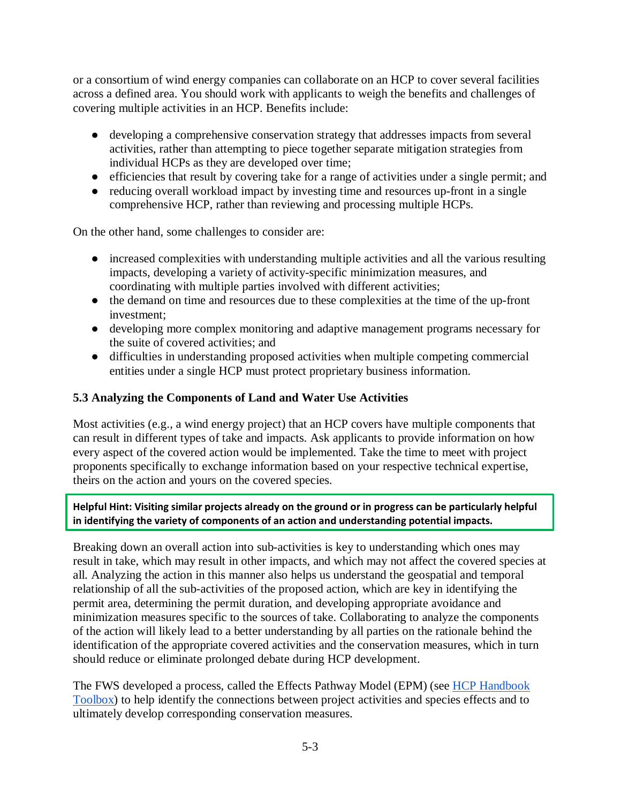or a consortium of wind energy companies can collaborate on an HCP to cover several facilities across a defined area. You should work with applicants to weigh the benefits and challenges of covering multiple activities in an HCP. Benefits include:

- developing a comprehensive conservation strategy that addresses impacts from several activities, rather than attempting to piece together separate mitigation strategies from individual HCPs as they are developed over time;
- efficiencies that result by covering take for a range of activities under a single permit; and
- reducing overall workload impact by investing time and resources up-front in a single comprehensive HCP, rather than reviewing and processing multiple HCPs.

On the other hand, some challenges to consider are:

- increased complexities with understanding multiple activities and all the various resulting impacts, developing a variety of activity-specific minimization measures, and coordinating with multiple parties involved with different activities;
- the demand on time and resources due to these complexities at the time of the up-front investment;
- developing more complex monitoring and adaptive management programs necessary for the suite of covered activities; and
- difficulties in understanding proposed activities when multiple competing commercial entities under a single HCP must protect proprietary business information.

## **5.3 Analyzing the Components of Land and Water Use Activities**

Most activities (e.g., a wind energy project) that an HCP covers have multiple components that can result in different types of take and impacts. Ask applicants to provide information on how every aspect of the covered action would be implemented. Take the time to meet with project proponents specifically to exchange information based on your respective technical expertise, theirs on the action and yours on the covered species.

**Helpful Hint: Visiting similar projects already on the ground or in progress can be particularly helpful in identifying the variety of components of an action and understanding potential impacts.**

Breaking down an overall action into sub-activities is key to understanding which ones may result in take, which may result in other impacts, and which may not affect the covered species at all. Analyzing the action in this manner also helps us understand the geospatial and temporal relationship of all the sub-activities of the proposed action, which are key in identifying the permit area, determining the permit duration, and developing appropriate avoidance and minimization measures specific to the sources of take. Collaborating to analyze the components of the action will likely lead to a better understanding by all parties on the rationale behind the identification of the appropriate covered activities and the conservation measures, which in turn should reduce or eliminate prolonged debate during HCP development.

The FWS developed a process, called the Effects Pathway Model (EPM) (see [HCP Handbook](https://www.fws.gov/endangered/what-we-do/hcp-handbook-toolbox.html#Ch5)  [Toolbox\)](https://www.fws.gov/endangered/what-we-do/hcp-handbook-toolbox.html#Ch5) to help identify the connections between project activities and species effects and to ultimately develop corresponding conservation measures.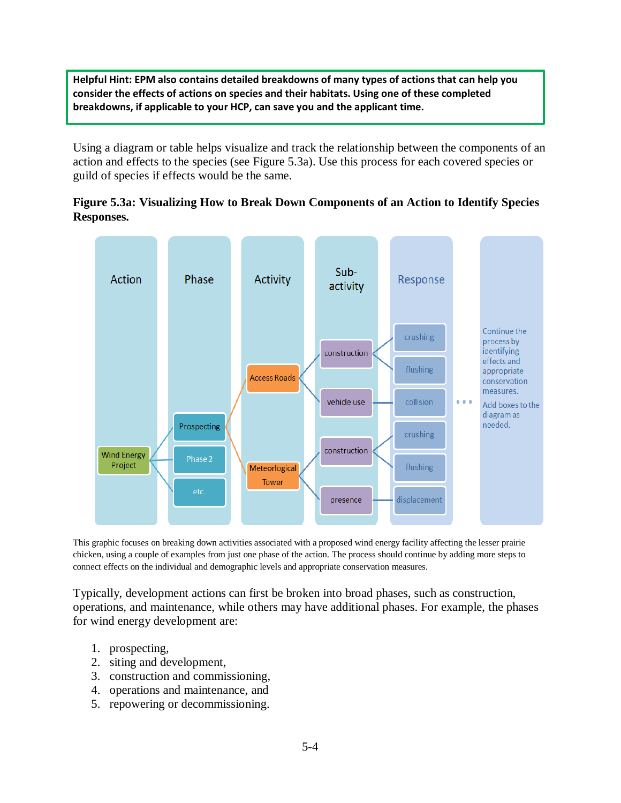**Helpful Hint: EPM also contains detailed breakdowns of many types of actions that can help you consider the effects of actions on species and their habitats. Using one of these completed breakdowns, if applicable to your HCP, can save you and the applicant time.** 

Using a diagram or table helps visualize and track the relationship between the components of an action and effects to the species (see Figure 5.3a). Use this process for each covered species or guild of species if effects would be the same.

### **Figure 5.3a: Visualizing How to Break Down Components of an Action to Identify Species Responses.**



This graphic focuses on breaking down activities associated with a proposed wind energy facility affecting the lesser prairie chicken, using a couple of examples from just one phase of the action. The process should continue by adding more steps to connect effects on the individual and demographic levels and appropriate conservation measures.

Typically, development actions can first be broken into broad phases, such as construction, operations, and maintenance, while others may have additional phases. For example, the phases for wind energy development are:

- 1. prospecting,
- 2. siting and development,
- 3. construction and commissioning,
- 4. operations and maintenance, and
- 5. repowering or decommissioning.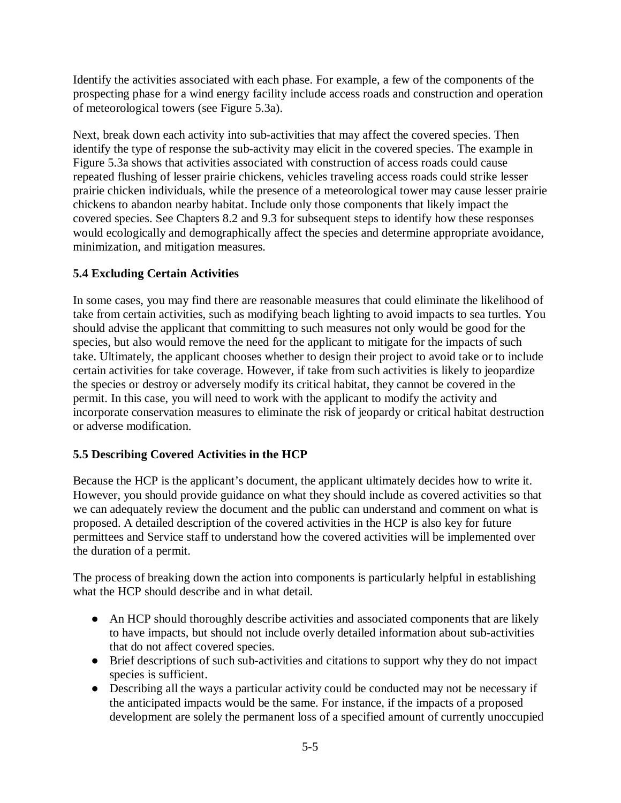Identify the activities associated with each phase. For example, a few of the components of the prospecting phase for a wind energy facility include access roads and construction and operation of meteorological towers (see Figure 5.3a).

Next, break down each activity into sub-activities that may affect the covered species. Then identify the type of response the sub-activity may elicit in the covered species. The example in Figure 5.3a shows that activities associated with construction of access roads could cause repeated flushing of lesser prairie chickens, vehicles traveling access roads could strike lesser prairie chicken individuals, while the presence of a meteorological tower may cause lesser prairie chickens to abandon nearby habitat. Include only those components that likely impact the covered species. See Chapters 8.2 and 9.3 for subsequent steps to identify how these responses would ecologically and demographically affect the species and determine appropriate avoidance, minimization, and mitigation measures.

## **5.4 Excluding Certain Activities**

In some cases, you may find there are reasonable measures that could eliminate the likelihood of take from certain activities, such as modifying beach lighting to avoid impacts to sea turtles. You should advise the applicant that committing to such measures not only would be good for the species, but also would remove the need for the applicant to mitigate for the impacts of such take. Ultimately, the applicant chooses whether to design their project to avoid take or to include certain activities for take coverage. However, if take from such activities is likely to jeopardize the species or destroy or adversely modify its critical habitat, they cannot be covered in the permit. In this case, you will need to work with the applicant to modify the activity and incorporate conservation measures to eliminate the risk of jeopardy or critical habitat destruction or adverse modification.

## **5.5 Describing Covered Activities in the HCP**

Because the HCP is the applicant's document, the applicant ultimately decides how to write it. However, you should provide guidance on what they should include as covered activities so that we can adequately review the document and the public can understand and comment on what is proposed. A detailed description of the covered activities in the HCP is also key for future permittees and Service staff to understand how the covered activities will be implemented over the duration of a permit.

The process of breaking down the action into components is particularly helpful in establishing what the HCP should describe and in what detail.

- An HCP should thoroughly describe activities and associated components that are likely to have impacts, but should not include overly detailed information about sub-activities that do not affect covered species.
- Brief descriptions of such sub-activities and citations to support why they do not impact species is sufficient.
- Describing all the ways a particular activity could be conducted may not be necessary if the anticipated impacts would be the same. For instance, if the impacts of a proposed development are solely the permanent loss of a specified amount of currently unoccupied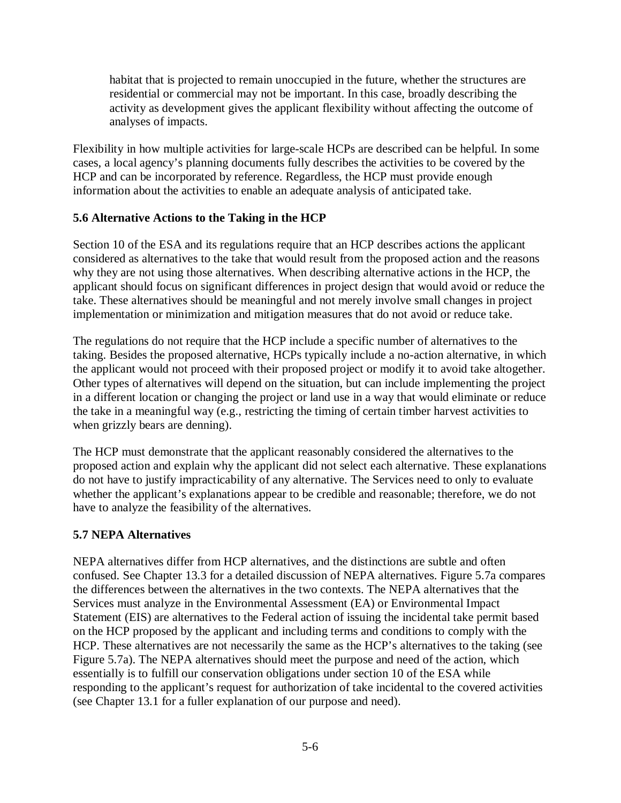habitat that is projected to remain unoccupied in the future, whether the structures are residential or commercial may not be important. In this case, broadly describing the activity as development gives the applicant flexibility without affecting the outcome of analyses of impacts.

Flexibility in how multiple activities for large-scale HCPs are described can be helpful. In some cases, a local agency's planning documents fully describes the activities to be covered by the HCP and can be incorporated by reference. Regardless, the HCP must provide enough information about the activities to enable an adequate analysis of anticipated take.

#### **5.6 Alternative Actions to the Taking in the HCP**

Section 10 of the ESA and its regulations require that an HCP describes actions the applicant considered as alternatives to the take that would result from the proposed action and the reasons why they are not using those alternatives. When describing alternative actions in the HCP, the applicant should focus on significant differences in project design that would avoid or reduce the take. These alternatives should be meaningful and not merely involve small changes in project implementation or minimization and mitigation measures that do not avoid or reduce take.

The regulations do not require that the HCP include a specific number of alternatives to the taking. Besides the proposed alternative, HCPs typically include a no-action alternative, in which the applicant would not proceed with their proposed project or modify it to avoid take altogether. Other types of alternatives will depend on the situation, but can include implementing the project in a different location or changing the project or land use in a way that would eliminate or reduce the take in a meaningful way (e.g., restricting the timing of certain timber harvest activities to when grizzly bears are denning).

The HCP must demonstrate that the applicant reasonably considered the alternatives to the proposed action and explain why the applicant did not select each alternative. These explanations do not have to justify impracticability of any alternative. The Services need to only to evaluate whether the applicant's explanations appear to be credible and reasonable; therefore, we do not have to analyze the feasibility of the alternatives.

#### **5.7 NEPA Alternatives**

NEPA alternatives differ from HCP alternatives, and the distinctions are subtle and often confused. See Chapter 13.3 for a detailed discussion of NEPA alternatives. Figure 5.7a compares the differences between the alternatives in the two contexts. The NEPA alternatives that the Services must analyze in the Environmental Assessment (EA) or Environmental Impact Statement (EIS) are alternatives to the Federal action of issuing the incidental take permit based on the HCP proposed by the applicant and including terms and conditions to comply with the HCP. These alternatives are not necessarily the same as the HCP's alternatives to the taking (see Figure 5.7a). The NEPA alternatives should meet the purpose and need of the action, which essentially is to fulfill our conservation obligations under section 10 of the ESA while responding to the applicant's request for authorization of take incidental to the covered activities (see Chapter 13.1 for a fuller explanation of our purpose and need).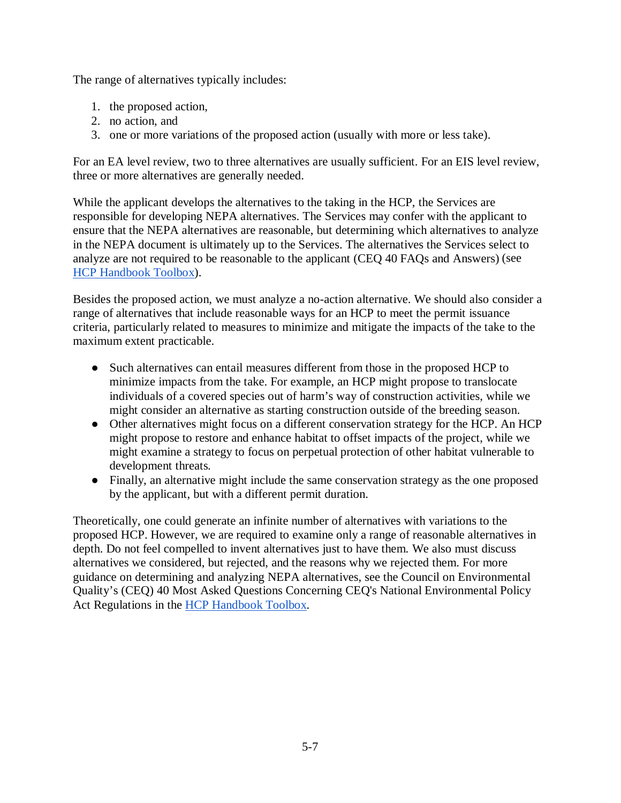The range of alternatives typically includes:

- 1. the proposed action,
- 2. no action, and
- 3. one or more variations of the proposed action (usually with more or less take).

For an EA level review, two to three alternatives are usually sufficient. For an EIS level review, three or more alternatives are generally needed.

While the applicant develops the alternatives to the taking in the HCP, the Services are responsible for developing NEPA alternatives. The Services may confer with the applicant to ensure that the NEPA alternatives are reasonable, but determining which alternatives to analyze in the NEPA document is ultimately up to the Services. The alternatives the Services select to analyze are not required to be reasonable to the applicant (CEQ 40 FAQs and Answers) (see [HCP Handbook Toolbox\)](https://www.fws.gov/endangered/what-we-do/hcp-handbook-toolbox.html#Ch5).

Besides the proposed action, we must analyze a no-action alternative. We should also consider a range of alternatives that include reasonable ways for an HCP to meet the permit issuance criteria, particularly related to measures to minimize and mitigate the impacts of the take to the maximum extent practicable.

- Such alternatives can entail measures different from those in the proposed HCP to minimize impacts from the take. For example, an HCP might propose to translocate individuals of a covered species out of harm's way of construction activities, while we might consider an alternative as starting construction outside of the breeding season.
- Other alternatives might focus on a different conservation strategy for the HCP. An HCP might propose to restore and enhance habitat to offset impacts of the project, while we might examine a strategy to focus on perpetual protection of other habitat vulnerable to development threats.
- Finally, an alternative might include the same conservation strategy as the one proposed by the applicant, but with a different permit duration.

Theoretically, one could generate an infinite number of alternatives with variations to the proposed HCP. However, we are required to examine only a range of reasonable alternatives in depth. Do not feel compelled to invent alternatives just to have them. We also must discuss alternatives we considered, but rejected, and the reasons why we rejected them. For more guidance on determining and analyzing NEPA alternatives, see the Council on Environmental Quality's (CEQ) 40 Most Asked Questions Concerning CEQ's National Environmental Policy Act Regulations in the [HCP Handbook Toolbox.](https://www.fws.gov/endangered/what-we-do/hcp-handbook-toolbox.html#Ch5)